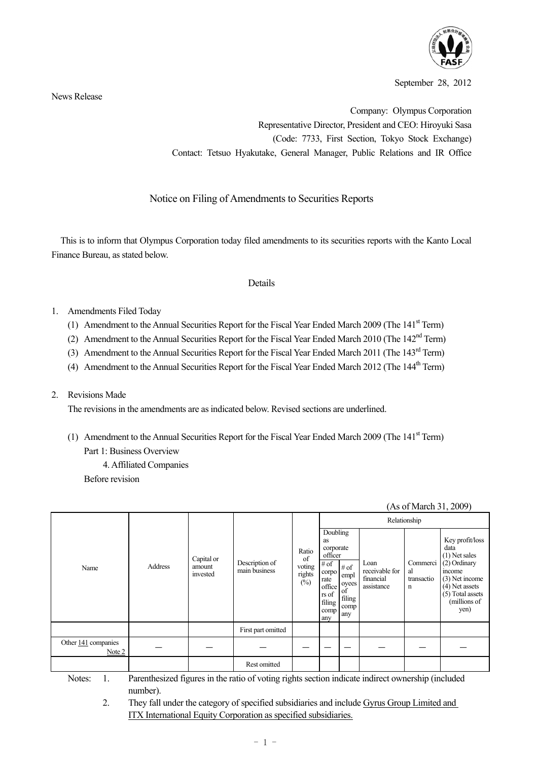

September 28, 2012

(As of March 31, 2009)

News Release

Company: Olympus Corporation Representative Director, President and CEO: Hiroyuki Sasa (Code: 7733, First Section, Tokyo Stock Exchange) Contact: Tetsuo Hyakutake, General Manager, Public Relations and IR Office

Notice on Filing of Amendments to Securities Reports

This is to inform that Olympus Corporation today filed amendments to its securities reports with the Kanto Local Finance Bureau, as stated below.

# Details

- 1. Amendments Filed Today
	- (1) Amendment to the Annual Securities Report for the Fiscal Year Ended March 2009 (The  $141<sup>st</sup>$  Term)
	- (2) Amendment to the Annual Securities Report for the Fiscal Year Ended March 2010 (The 142<sup>nd</sup> Term)
	- (3) Amendment to the Annual Securities Report for the Fiscal Year Ended March 2011 (The 143<sup>rd</sup> Term)
	- (4) Amendment to the Annual Securities Report for the Fiscal Year Ended March 2012 (The 144<sup>th</sup> Term)
- 2. Revisions Made

The revisions in the amendments are as indicated below. Revised sections are underlined.

- (1) Amendment to the Annual Securities Report for the Fiscal Year Ended March 2009 (The  $141<sup>st</sup>$  Term) Part 1: Business Overview
	- 4. Affiliated Companies

Before revision

|                               |         |                                  |                                 |                                        |                                                                                                             |                                                         |                                                   | Relationship                      |                                                                                                                                                        |
|-------------------------------|---------|----------------------------------|---------------------------------|----------------------------------------|-------------------------------------------------------------------------------------------------------------|---------------------------------------------------------|---------------------------------------------------|-----------------------------------|--------------------------------------------------------------------------------------------------------------------------------------------------------|
| Name                          | Address | Capital or<br>amount<br>invested | Description of<br>main business | Ratio<br>of<br>voting<br>rights<br>(%) | Doubling<br>as<br>corporate<br>officer<br># of<br>corpo<br>rate<br>office<br>rs of<br>filing<br>comp<br>any | $\#$ of<br>empl<br>oyees<br>of<br>filing<br>comp<br>any | Loan<br>receivable for<br>financial<br>assistance | Commerci<br>al<br>transactio<br>n | Key profit/loss<br>data<br>$(1)$ Net sales<br>(2) Ordinary<br>income<br>(3) Net income<br>$(4)$ Net assets<br>(5) Total assets<br>(millions of<br>yen) |
|                               |         |                                  | First part omitted              |                                        |                                                                                                             |                                                         |                                                   |                                   |                                                                                                                                                        |
| Other 141 companies<br>Note 2 |         |                                  |                                 |                                        |                                                                                                             |                                                         |                                                   |                                   |                                                                                                                                                        |
|                               |         |                                  | Rest omitted                    |                                        |                                                                                                             |                                                         |                                                   |                                   |                                                                                                                                                        |

Notes: 1. Parenthesized figures in the ratio of voting rights section indicate indirect ownership (included number).

2. They fall under the category of specified subsidiaries and include Gyrus Group Limited and ITX International Equity Corporation as specified subsidiaries.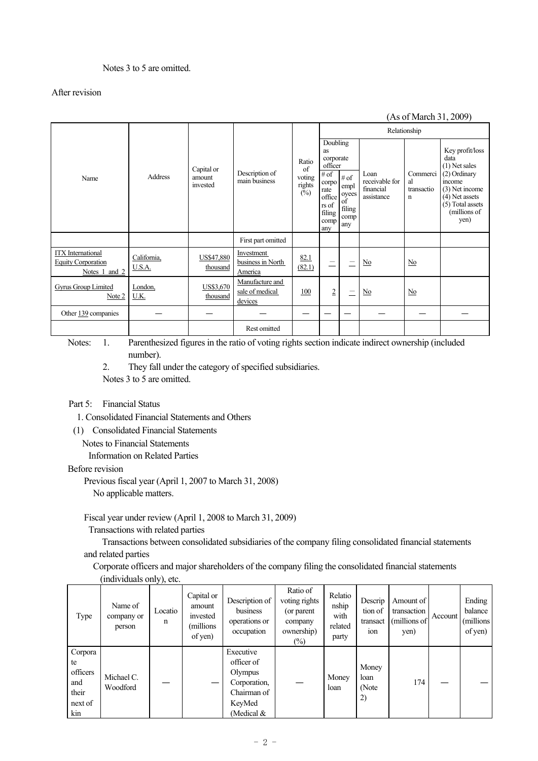# Notes 3 to 5 are omitted.

# After revision

#### (As of March 31, 2009) Relationship Doubling as corporate officer Name **Address** Capital or amount invested Description of main business Ratio of voting rights  $($ %) # of corpo rate office rs of filing comp any # of empl oyees of filing comp any Loan receivable for financial assistance Commerci al transactio n Key profit/loss data (1) Net sales (2) Ordinary income (3) Net income (4) Net assets (5) Total assets (millions of yen) First part omitted **ITX** International Equity Corporation Notes 1 and 2 California, U.S.A. US\$47,880 thousand **Investment** business in North America 82.1  $\left(\frac{62.1}{82.1}\right)$   $=$   $\left| \frac{\text{No}}{\text{No}} \right|$   $\frac{\text{No}}{\text{No}}$ Gyrus Group Limited Note 2 London, U.K. US\$3,670 thousand Manufacture and sale of medical devices  $\frac{100}{2}$   $\frac{2}{2}$   $\frac{1}{2}$  No  $\frac{No}{2}$ Other 139 companies ― ― ― ― ― ― ― ― ― Rest omitted

Notes: 1. Parenthesized figures in the ratio of voting rights section indicate indirect ownership (included number).

2. They fall under the category of specified subsidiaries.

Notes 3 to 5 are omitted.

#### Part 5: Financial Status

1. Consolidated Financial Statements and Others

(1) Consolidated Financial Statements

Notes to Financial Statements

Information on Related Parties

#### Before revision

Previous fiscal year (April 1, 2007 to March 31, 2008) No applicable matters.

# Fiscal year under review (April 1, 2008 to March 31, 2009)

Transactions with related parties

 Transactions between consolidated subsidiaries of the company filing consolidated financial statements and related parties

Corporate officers and major shareholders of the company filing the consolidated financial statements (individuals only), etc.

| Type                                                        | Name of<br>company or<br>person | Locatio<br>n | Capital or<br>amount<br>invested<br>millions)<br>of yen) | Description of<br>business<br>operations or<br>occupation                                   | Ratio of<br>voting rights<br>(or parent<br>company<br>ownership)<br>$(\%)$ | Relatio<br>nship<br>with<br>related<br>party | Descrip<br>tion of<br>transact<br>10n | Amount of<br>transaction<br>(millions of<br>yen) | Account | Ending<br>balance<br>(millions<br>of yen) |
|-------------------------------------------------------------|---------------------------------|--------------|----------------------------------------------------------|---------------------------------------------------------------------------------------------|----------------------------------------------------------------------------|----------------------------------------------|---------------------------------------|--------------------------------------------------|---------|-------------------------------------------|
| Corpora<br>te<br>officers<br>and<br>their<br>next of<br>kin | Michael C.<br>Woodford          |              |                                                          | Executive<br>officer of<br>Olympus<br>Corporation,<br>Chairman of<br>KeyMed<br>(Medical $&$ |                                                                            | Money<br>loan                                | Money<br>loan<br>(Note<br>2)          | 174                                              |         |                                           |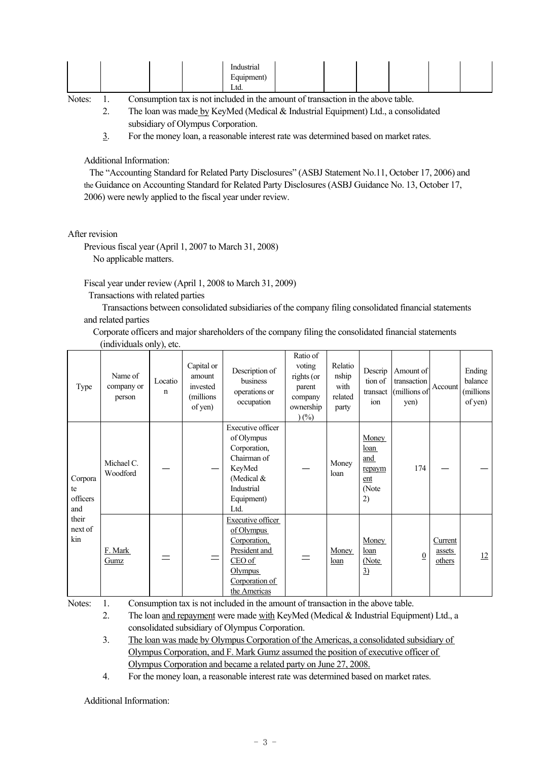| աներ<br>Inc<br>usu iai<br>шч<br>–<br>Ltd. |
|-------------------------------------------|
|-------------------------------------------|

 2. The loan was made by KeyMed (Medical & Industrial Equipment) Ltd., a consolidated subsidiary of Olympus Corporation.

3. For the money loan, a reasonable interest rate was determined based on market rates.

Additional Information:

The "Accounting Standard for Related Party Disclosures" (ASBJ Statement No.11, October 17, 2006) and the Guidance on Accounting Standard for Related Party Disclosures (ASBJ Guidance No. 13, October 17, 2006) were newly applied to the fiscal year under review.

After revision

Previous fiscal year (April 1, 2007 to March 31, 2008) No applicable matters.

Fiscal year under review (April 1, 2008 to March 31, 2009)

Transactions with related parties

 Transactions between consolidated subsidiaries of the company filing consolidated financial statements and related parties

Corporate officers and major shareholders of the company filing the consolidated financial statements (individuals only), etc.

| Type                                                        | Name of<br>company or<br>person | Locatio<br>n | Capital or<br>amount<br>invested<br>(millions<br>of yen) | Description of<br>business<br>operations or<br>occupation                                                                             | Ratio of<br>voting<br>rights (or<br>parent<br>company<br>ownership<br>$(\%)$ | Relatio<br>nship<br>with<br>related<br>party | Descrip<br>tion of<br>transact<br>ion                | Amount of<br>transaction<br>(millions of<br>yen) | Account                     | Ending<br>balance<br>(millions)<br>of yen) |
|-------------------------------------------------------------|---------------------------------|--------------|----------------------------------------------------------|---------------------------------------------------------------------------------------------------------------------------------------|------------------------------------------------------------------------------|----------------------------------------------|------------------------------------------------------|--------------------------------------------------|-----------------------------|--------------------------------------------|
| Corpora<br>te<br>officers<br>and<br>their<br>next of<br>kin | Michael C.<br>Woodford          |              |                                                          | Executive officer<br>of Olympus<br>Corporation,<br>Chairman of<br>KeyMed<br>(Medical $&$<br>Industrial<br>Equipment)<br>Ltd.          |                                                                              | Money<br>loan                                | Money<br>loan<br>and<br>repaym<br>ent<br>(Note<br>2) | 174                                              |                             |                                            |
|                                                             | F. Mark<br>Gumz                 |              | $=$                                                      | <b>Executive officer</b><br>of Olympus<br>Corporation,<br>President and<br>CEO of<br><b>Olympus</b><br>Corporation of<br>the Americas |                                                                              | Money<br>loan                                | Money<br>loan<br>(Note<br>$\overline{3}$             | $\overline{0}$                                   | Current<br>assets<br>others | 12                                         |

Notes: 1. Consumption tax is not included in the amount of transaction in the above table.

2. The loan and repayment were made with KeyMed (Medical  $\&$  Industrial Equipment) Ltd., a consolidated subsidiary of Olympus Corporation.

 3. The loan was made by Olympus Corporation of the Americas, a consolidated subsidiary of Olympus Corporation, and F. Mark Gumz assumed the position of executive officer of Olympus Corporation and became a related party on June 27, 2008.

4. For the money loan, a reasonable interest rate was determined based on market rates.

Additional Information: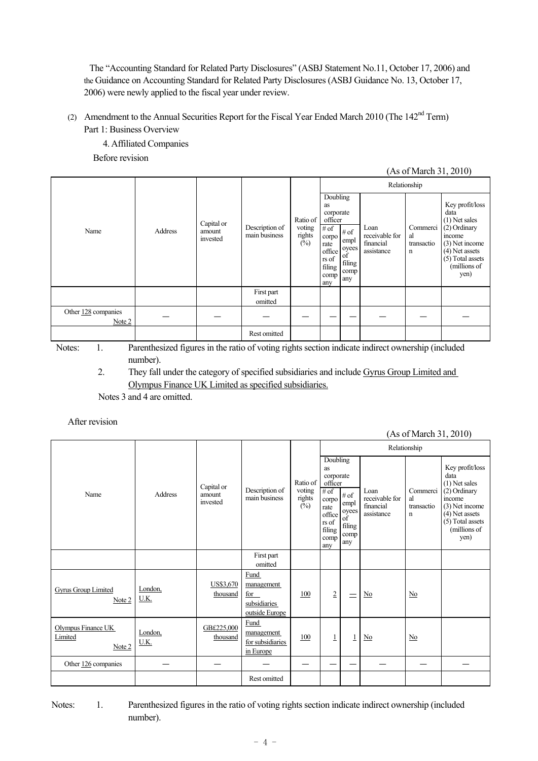The "Accounting Standard for Related Party Disclosures" (ASBJ Statement No.11, October 17, 2006) and the Guidance on Accounting Standard for Related Party Disclosures (ASBJ Guidance No. 13, October 17, 2006) were newly applied to the fiscal year under review.

(2) Amendment to the Annual Securities Report for the Fiscal Year Ended March 2010 (The 142<sup>nd</sup> Term) Part 1: Business Overview

 4. Affiliated Companies Before revision

(As of March 31, 2010)

|                               |         |                                  |                                 |                                              |                                                                                                                                                                     |                                                   | Relationship                      | Key profit/loss<br>data<br>$(1)$ Net sales<br>(2) Ordinary<br>income<br>(3) Net income<br>(4) Net assets<br>(5) Total assets<br>(millions of<br>yen) |
|-------------------------------|---------|----------------------------------|---------------------------------|----------------------------------------------|---------------------------------------------------------------------------------------------------------------------------------------------------------------------|---------------------------------------------------|-----------------------------------|------------------------------------------------------------------------------------------------------------------------------------------------------|
| Name                          | Address | Capital or<br>amount<br>invested | Description of<br>main business | Ratio of  <br>voting<br>rights $\frac{1}{2}$ | Doubling<br>as<br>corporate<br>officer<br># of<br># of<br>corpo<br>empl<br>rate<br>oyees<br>office<br>of<br>rs of<br>filing<br>filing<br>comp<br>comp<br>any<br>any | Loan<br>receivable for<br>financial<br>assistance | Commerci<br>al<br>transactio<br>n |                                                                                                                                                      |
|                               |         |                                  | First part<br>omitted           |                                              |                                                                                                                                                                     |                                                   |                                   |                                                                                                                                                      |
| Other 128 companies<br>Note 2 |         |                                  |                                 |                                              |                                                                                                                                                                     |                                                   |                                   |                                                                                                                                                      |
|                               |         |                                  | Rest omitted                    |                                              |                                                                                                                                                                     |                                                   |                                   |                                                                                                                                                      |

 Notes: 1. Parenthesized figures in the ratio of voting rights section indicate indirect ownership (included number).

 2. They fall under the category of specified subsidiaries and include Gyrus Group Limited and Olympus Finance UK Limited as specified subsidiaries.

Notes 3 and 4 are omitted.

# After revision

|                                         |                 |                                  |                                                                    |                                            |                                                                                                                                |                                                      |                                                   | Relationship                                | $(113 \text{ V1} \cdot 1)$<br>Key profit/loss<br>data<br>(1) Net sales<br>(2) Ordinary<br>income<br>(3) Net income<br>(4) Net assets<br>$(5)$ Total assets<br>(millions of<br>yen) |
|-----------------------------------------|-----------------|----------------------------------|--------------------------------------------------------------------|--------------------------------------------|--------------------------------------------------------------------------------------------------------------------------------|------------------------------------------------------|---------------------------------------------------|---------------------------------------------|------------------------------------------------------------------------------------------------------------------------------------------------------------------------------------|
| Name                                    | Address         | Capital or<br>amount<br>invested | Description of<br>main business                                    | Ratio of<br>voting<br>rights $\frac{1}{2}$ | Doubling<br>as<br>corporate<br>officer<br>$#$ of<br>corpo<br>rate<br>office<br>rs of<br>$\operatorname{filing}$<br>comp<br>any | # of<br>empl<br>oyees<br>of<br>filing<br>comp<br>any | Loan<br>receivable for<br>financial<br>assistance | Commerci<br>al<br>transactio<br>$\mathbf n$ |                                                                                                                                                                                    |
|                                         |                 |                                  | First part<br>omitted                                              |                                            |                                                                                                                                |                                                      |                                                   |                                             |                                                                                                                                                                                    |
| Gyrus Group Limited<br>Note 2           | London,<br>U.K. | US\$3,670<br>thousand            | <b>Fund</b><br>management<br>for<br>subsidiaries<br>outside Europe | 100                                        | $\overline{2}$                                                                                                                 | $\equiv$                                             | $\underline{\mathrm{No}}$                         | N <sub>0</sub>                              |                                                                                                                                                                                    |
| Olympus Finance UK<br>Limited<br>Note 2 | London,<br>U.K. | GB£225,000<br>thousand           | <b>Fund</b><br>management<br>for subsidiaries<br>in Europe         | 100                                        | $\overline{1}$                                                                                                                 | $\perp$                                              | $\underline{\mathrm{No}}$                         | $\mathbf{N}$ o                              |                                                                                                                                                                                    |
| Other 126 companies                     |                 |                                  |                                                                    |                                            |                                                                                                                                |                                                      |                                                   |                                             |                                                                                                                                                                                    |
|                                         |                 |                                  | Rest omitted                                                       |                                            |                                                                                                                                |                                                      |                                                   |                                             |                                                                                                                                                                                    |

Notes: 1. Parenthesized figures in the ratio of voting rights section indicate indirect ownership (included number).

#### $-4 -$

(As of March 31, 2010)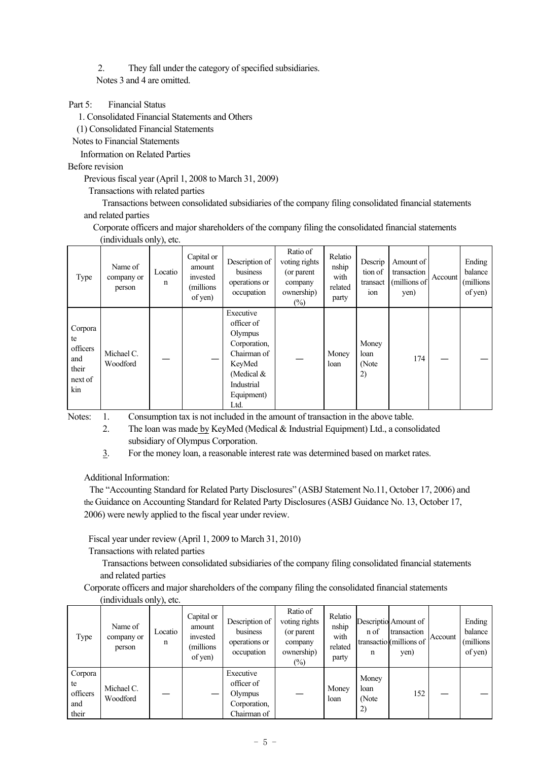2. They fall under the category of specified subsidiaries. Notes 3 and 4 are omitted.

# Part 5: Financial Status

1. Consolidated Financial Statements and Others

(1) Consolidated Financial Statements

Notes to Financial Statements

Information on Related Parties

# Before revision

Previous fiscal year (April 1, 2008 to March 31, 2009)

Transactions with related parties

 Transactions between consolidated subsidiaries of the company filing consolidated financial statements and related parties

Corporate officers and major shareholders of the company filing the consolidated financial statements (individuals only), etc.

| Type                                                        | Name of<br>company or<br>person | Locatio<br>n | Capital or<br>amount<br>invested<br>(millions)<br>of yen) | Description of<br>business<br>operations or<br>occupation                                                                       | Ratio of<br>voting rights<br>(or parent<br>company<br>ownership)<br>$(\%)$ | Relatio<br>nship<br>with<br>related<br>party | Descrip<br>tion of<br>transact<br>ion | Amount of<br>transaction<br>(millions of<br>yen) | Account | Ending<br>balance<br>(millions)<br>of yen) |
|-------------------------------------------------------------|---------------------------------|--------------|-----------------------------------------------------------|---------------------------------------------------------------------------------------------------------------------------------|----------------------------------------------------------------------------|----------------------------------------------|---------------------------------------|--------------------------------------------------|---------|--------------------------------------------|
| Corpora<br>te<br>officers<br>and<br>their<br>next of<br>kin | Michael C.<br>Woodford          |              |                                                           | Executive<br>officer of<br>Olympus<br>Corporation,<br>Chairman of<br>KeyMed<br>(Medical $&$<br>Industrial<br>Equipment)<br>Ltd. |                                                                            | Money<br>loan                                | Money<br>loan<br>(Note<br>2)          | 174                                              |         |                                            |

Notes: 1. Consumption tax is not included in the amount of transaction in the above table.

- 2. The loan was made by KeyMed (Medical & Industrial Equipment) Ltd., a consolidated subsidiary of Olympus Corporation.
- 3. For the money loan, a reasonable interest rate was determined based on market rates.

Additional Information:

The "Accounting Standard for Related Party Disclosures" (ASBJ Statement No.11, October 17, 2006) and the Guidance on Accounting Standard for Related Party Disclosures (ASBJ Guidance No. 13, October 17, 2006) were newly applied to the fiscal year under review.

Fiscal year under review (April 1, 2009 to March 31, 2010)

Transactions with related parties

 Transactions between consolidated subsidiaries of the company filing consolidated financial statements and related parties

Corporate officers and major shareholders of the company filing the consolidated financial statements

| (individuals only), etc. |  |  |
|--------------------------|--|--|
|--------------------------|--|--|

| Type                                      | Name of<br>company or<br>person | Locatio<br>n | Capital or<br>amount<br>invested<br>millions)<br>of yen) | Description of<br>business<br>operations or<br>occupation         | Ratio of<br>voting rights<br>(or parent<br>company<br>ownership)<br>$(\%)$ | Relatio<br>nship<br>with<br>related<br>party | n of<br>n                    | Descriptio Amount of<br>transaction<br>transactio (millions of<br>yen) | Account | Ending<br>balance<br>(millions)<br>of yen) |
|-------------------------------------------|---------------------------------|--------------|----------------------------------------------------------|-------------------------------------------------------------------|----------------------------------------------------------------------------|----------------------------------------------|------------------------------|------------------------------------------------------------------------|---------|--------------------------------------------|
| Corpora<br>te<br>officers<br>and<br>their | Michael C.<br>Woodford          |              |                                                          | Executive<br>officer of<br>Olympus<br>Corporation,<br>Chairman of |                                                                            | Money<br>loan                                | Money<br>loan<br>(Note<br>2) | 152                                                                    |         |                                            |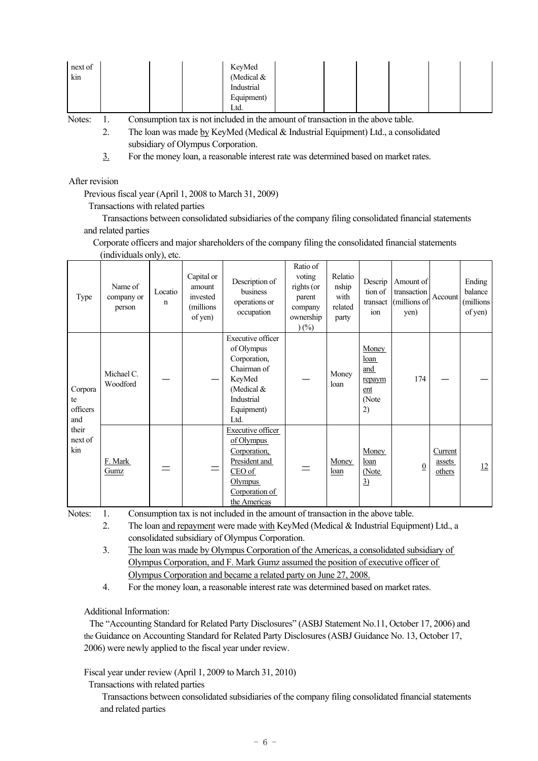| next of |  | KeyMed       |  |  |  |
|---------|--|--------------|--|--|--|
| kin     |  | (Medical $&$ |  |  |  |
|         |  | Industrial   |  |  |  |
|         |  | Equipment)   |  |  |  |
|         |  | Ltd.         |  |  |  |

 2. The loan was made by KeyMed (Medical & Industrial Equipment) Ltd., a consolidated subsidiary of Olympus Corporation.

3. For the money loan, a reasonable interest rate was determined based on market rates.

#### After revision

Previous fiscal year (April 1, 2008 to March 31, 2009)

Transactions with related parties

 Transactions between consolidated subsidiaries of the company filing consolidated financial statements and related parties

Corporate officers and major shareholders of the company filing the consolidated financial statements

| Type                                                        | Name of<br>company or<br>person | Locatio<br>$\mathbf n$ | Capital or<br>amount<br>invested<br>(millions)<br>of yen) | Description of<br>business<br>operations or<br>occupation                                                                           | Ratio of<br>voting<br>rights (or<br>parent<br>company<br>ownership<br>$(\%)$ | Relatio<br>nship<br>with<br>related<br>party | Descrip<br>tion of<br>transact<br>ion                | Amount of<br>transaction<br>(millions of<br>yen) | Account                     | Ending<br>balance<br>(millions<br>of yen) |
|-------------------------------------------------------------|---------------------------------|------------------------|-----------------------------------------------------------|-------------------------------------------------------------------------------------------------------------------------------------|------------------------------------------------------------------------------|----------------------------------------------|------------------------------------------------------|--------------------------------------------------|-----------------------------|-------------------------------------------|
| Corpora<br>te<br>officers<br>and<br>their<br>next of<br>kin | Michael C.<br>Woodford          |                        |                                                           | <b>Executive officer</b><br>of Olympus<br>Corporation,<br>Chairman of<br>KeyMed<br>(Medical $&$<br>Industrial<br>Equipment)<br>Ltd. |                                                                              | Money<br>loan                                | Money<br>loan<br>and<br>repaym<br>ent<br>(Note<br>2) | 174                                              |                             |                                           |
|                                                             | F. Mark<br>Gumz                 |                        | $=$                                                       | <b>Executive officer</b><br>of Olympus<br>Corporation,<br>President and<br>CEO of<br>Olympus<br>Corporation of<br>the Americas      |                                                                              | Money<br>loan                                | Money<br>loan<br>(Note<br>$\underline{3}$            | $\overline{0}$                                   | Current<br>assets<br>others | 12                                        |

(individuals only) etc.

Notes: 1. Consumption tax is not included in the amount of transaction in the above table.

2. The loan and repayment were made with KeyMed (Medical & Industrial Equipment) Ltd., a consolidated subsidiary of Olympus Corporation.

 3. The loan was made by Olympus Corporation of the Americas, a consolidated subsidiary of Olympus Corporation, and F. Mark Gumz assumed the position of executive officer of Olympus Corporation and became a related party on June 27, 2008.

4. For the money loan, a reasonable interest rate was determined based on market rates.

Additional Information:

The "Accounting Standard for Related Party Disclosures" (ASBJ Statement No.11, October 17, 2006) and the Guidance on Accounting Standard for Related Party Disclosures (ASBJ Guidance No. 13, October 17, 2006) were newly applied to the fiscal year under review.

Fiscal year under review (April 1, 2009 to March 31, 2010)

Transactions with related parties

 Transactions between consolidated subsidiaries of the company filing consolidated financial statements and related parties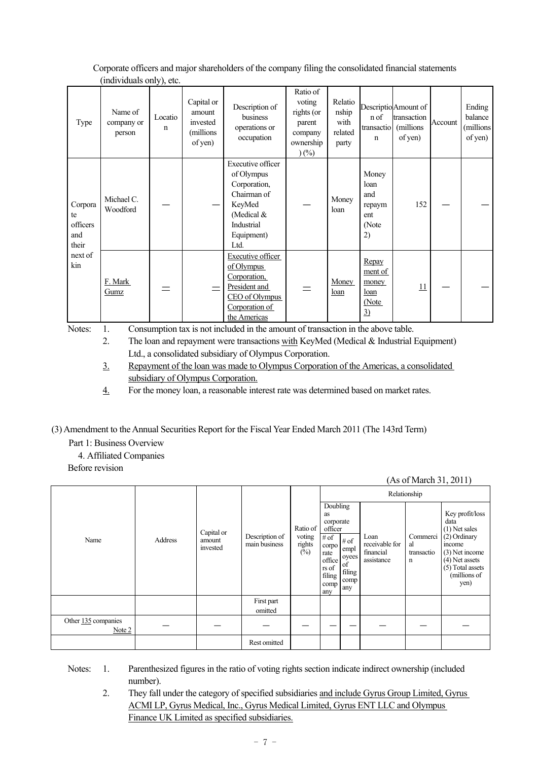|                                                             | $($ man radiano $\sigma$ m $j$ ; $\sigma$ ic.                                    |                        |                                                          |                                                                                                                                   |                                                                              |                                              |                                                      |                                                              |         |                                           |
|-------------------------------------------------------------|----------------------------------------------------------------------------------|------------------------|----------------------------------------------------------|-----------------------------------------------------------------------------------------------------------------------------------|------------------------------------------------------------------------------|----------------------------------------------|------------------------------------------------------|--------------------------------------------------------------|---------|-------------------------------------------|
| Type                                                        | Name of<br>company or<br>person                                                  | Locatio<br>$\mathbf n$ | Capital or<br>amount<br>invested<br>(millions<br>of yen) | Description of<br>business<br>operations or<br>occupation                                                                         | Ratio of<br>voting<br>rights (or<br>parent<br>company<br>ownership<br>$(\%)$ | Relatio<br>nship<br>with<br>related<br>party | n of<br>transactio<br>n                              | Descriptio Amount of<br>transaction<br>(millions)<br>of yen) | Account | Ending<br>balance<br>(millions<br>of yen) |
| Corpora<br>te<br>officers<br>and<br>their<br>next of<br>kin | Michael C.<br>Woodford                                                           |                        |                                                          | <b>Executive officer</b><br>of Olympus<br>Corporation,<br>Chairman of<br>KeyMed<br>(Medical &<br>Industrial<br>Equipment)<br>Ltd. |                                                                              | Money<br>loan                                | Money<br>loan<br>and<br>repaym<br>ent<br>(Note<br>2) | 152                                                          |         |                                           |
|                                                             | F. Mark<br>Gumz                                                                  |                        |                                                          | <b>Executive officer</b><br>of Olympus<br>Corporation,<br>President and<br>CEO of Olympus<br>Corporation of<br>the Americas       |                                                                              | Money<br>loan                                | Repay<br>ment of<br>money<br>loan<br>(Note<br>3)     | 11                                                           |         |                                           |
| Notes:                                                      | Consumption tax is not included in the amount of transaction in the above table. |                        |                                                          |                                                                                                                                   |                                                                              |                                              |                                                      |                                                              |         |                                           |

Corporate officers and major shareholders of the company filing the consolidated financial statements  $(individuals only)$  etc.

2. The loan and repayment were transactions with KeyMed (Medical  $\&$  Industrial Equipment) Ltd., a consolidated subsidiary of Olympus Corporation.

 3. Repayment of the loan was made to Olympus Corporation of the Americas, a consolidated subsidiary of Olympus Corporation.

4. For the money loan, a reasonable interest rate was determined based on market rates.

(3) Amendment to the Annual Securities Report for the Fiscal Year Ended March 2011 (The 143rd Term)

Part 1: Business Overview

4. Affiliated Companies

Before revision

(As of March 31, 2011)

|                     | Name<br>Address<br>amount<br>invested<br>Note 2 |            |                                 |                                            |                                                                                                             |                                                         |                                                   | Relationship                      |                                                                                                                                                        |
|---------------------|-------------------------------------------------|------------|---------------------------------|--------------------------------------------|-------------------------------------------------------------------------------------------------------------|---------------------------------------------------------|---------------------------------------------------|-----------------------------------|--------------------------------------------------------------------------------------------------------------------------------------------------------|
|                     |                                                 | Capital or | Description of<br>main business | Ratio of<br>voting<br>rights $\frac{1}{2}$ | Doubling<br>as<br>corporate<br>officer<br># of<br>corpo<br>rate<br>office<br>rs of<br>filing<br>comp<br>any | $\#$ of<br>empl<br>oyees<br>of<br>filing<br>comp<br>any | Loan<br>receivable for<br>financial<br>assistance | Commerci<br>al<br>transactio<br>n | Key profit/loss<br>data<br>$(1)$ Net sales<br>$(2)$ Ordinary<br>income<br>(3) Net income<br>(4) Net assets<br>(5) Total assets<br>(millions of<br>yen) |
|                     |                                                 |            | First part<br>omitted           |                                            |                                                                                                             |                                                         |                                                   |                                   |                                                                                                                                                        |
| Other 135 companies |                                                 |            |                                 |                                            |                                                                                                             |                                                         |                                                   |                                   |                                                                                                                                                        |
|                     |                                                 |            | Rest omitted                    |                                            |                                                                                                             |                                                         |                                                   |                                   |                                                                                                                                                        |

- Notes: 1. Parenthesized figures in the ratio of voting rights section indicate indirect ownership (included number).
	- 2. They fall under the category of specified subsidiaries and include Gyrus Group Limited, Gyrus ACMI LP, Gyrus Medical, Inc., Gyrus Medical Limited, Gyrus ENT LLC and Olympus Finance UK Limited as specified subsidiaries.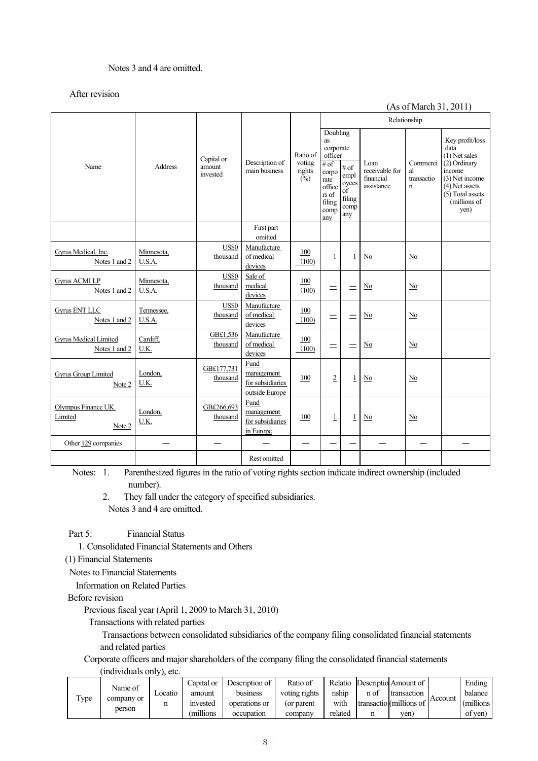## Notes 3 and 4 are omitted.

#### After revision

#### (As of March 31, 2011)

|                                         |                      |                                  |                                                          |                                                |                                                                                                             |                                                              |                                                   | Relationship                                |                                                                                                                                                        |
|-----------------------------------------|----------------------|----------------------------------|----------------------------------------------------------|------------------------------------------------|-------------------------------------------------------------------------------------------------------------|--------------------------------------------------------------|---------------------------------------------------|---------------------------------------------|--------------------------------------------------------------------------------------------------------------------------------------------------------|
| Name                                    | <b>Address</b>       | Capital or<br>amount<br>invested | Description of<br>main business                          | Ratio of<br>voting<br>rights<br>$\check{(\%)}$ | Doubling<br>as<br>corporate<br>officer<br># of<br>corpo<br>rate<br>office<br>rs of<br>filing<br>comp<br>any | # of<br>empl<br>oyees<br>$\sigma$ f<br>filing<br>comp<br>any | Loan<br>receivable for<br>financial<br>assistance | Commerci<br>al<br>transactio<br>$\mathbf n$ | Key profit/loss<br>data<br>$(1)$ Net sales<br>(2) Ordinary<br>income<br>(3) Net income<br>$(4)$ Net assets<br>(5) Total assets<br>(millions of<br>yen) |
|                                         |                      |                                  | First part<br>omitted                                    |                                                |                                                                                                             |                                                              |                                                   |                                             |                                                                                                                                                        |
| Gyrus Medical, Inc.<br>Notes 1 and 2    | Minnesota,<br>U.S.A. | <b>US\$0</b><br>thousand         | Manufacture<br>of medical<br>devices                     | 100<br>(100)                                   | $\mathbf{1}$                                                                                                | $\mathbf{1}$                                                 | No                                                | No                                          |                                                                                                                                                        |
| <b>Gyrus ACMI LP</b><br>Notes 1 and 2   | Minnesota,<br>U.S.A. | <b>US\$0</b><br>thousand         | Sale of<br>medical<br>devices                            | 100<br>(100)                                   | $=$                                                                                                         | $=$                                                          | No                                                | No                                          |                                                                                                                                                        |
| <b>Gyrus ENT LLC</b><br>Notes 1 and 2   | Tennessee,<br>U.S.A. | <b>US\$0</b><br>thousand         | Manufacture<br>of medical<br>devices                     | 100<br>(100)                                   | $=$                                                                                                         | $=$                                                          | No                                                | No                                          |                                                                                                                                                        |
| Gyrus Medical Limited<br>Notes 1 and 2  | Cardiff,<br>U.K.     | GB£1,536<br>thousand             | Manufacture<br>of medical<br>devices                     | 100<br>(100)                                   | $=$                                                                                                         | $=$                                                          | No                                                | N <sub>0</sub>                              |                                                                                                                                                        |
| Gyrus Group Limited<br>Note 2           | London,<br>U.K.      | GB£177.731<br>thousand           | Fund<br>management<br>for subsidiaries<br>outside Europe | 100                                            | $\overline{2}$                                                                                              | $\mathbf{1}$                                                 | No                                                | No                                          |                                                                                                                                                        |
| Olympus Finance UK<br>Limited<br>Note 2 | London,<br>U.K.      | GB£266.693<br>thousand           | Fund<br>management<br>for subsidiaries<br>in Europe      | 100                                            | $\mathbf{1}$                                                                                                | $\mathbf{1}$                                                 | No                                                | N <sub>0</sub>                              |                                                                                                                                                        |
| Other 129 companies                     |                      |                                  |                                                          |                                                |                                                                                                             |                                                              |                                                   |                                             |                                                                                                                                                        |
|                                         |                      |                                  | Rest omitted                                             |                                                |                                                                                                             |                                                              |                                                   |                                             |                                                                                                                                                        |

 Notes: 1. Parenthesized figures in the ratio of voting rights section indicate indirect ownership (included number).

 2. They fall under the category of specified subsidiaries. Notes 3 and 4 are omitted.

Part 5: Financial Status

1. Consolidated Financial Statements and Others

(1) Financial Statements

Notes to Financial Statements

Information on Related Parties

Before revision

Previous fiscal year (April 1, 2009 to March 31, 2010)

Transactions with related parties

 Transactions between consolidated subsidiaries of the company filing consolidated financial statements and related parties

Corporate officers and major shareholders of the company filing the consolidated financial statements

(individuals only), etc.

| Name of |            | Capital or | Description of                          | Ratio of   | Relatio       |                         | Descriptio Amount of |             | Ending  |         |
|---------|------------|------------|-----------------------------------------|------------|---------------|-------------------------|----------------------|-------------|---------|---------|
| Type    | company or | _ocatio    | amount                                  | business   | voting rights | nship                   | n of                 | transaction | Account | balance |
|         |            |            | invested<br>operations or<br>(or parent | with       |               | transactio (millions of |                      | (millions)  |         |         |
|         | person     |            | millions)                               | occupation | company       | related                 |                      | ven)        |         | of yen) |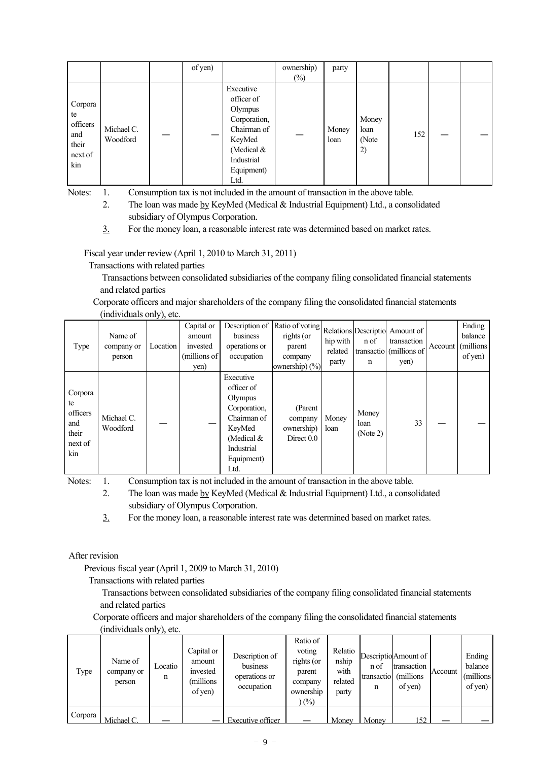|                                                             |                        | of yen) |                                                                                                                               | ownership)<br>$(\%)$ | party         |                              |     |  |
|-------------------------------------------------------------|------------------------|---------|-------------------------------------------------------------------------------------------------------------------------------|----------------------|---------------|------------------------------|-----|--|
| Corpora<br>te<br>officers<br>and<br>their<br>next of<br>kin | Michael C.<br>Woodford |         | Executive<br>officer of<br>Olympus<br>Corporation,<br>Chairman of<br>KeyMed<br>(Medical &<br>Industrial<br>Equipment)<br>Ltd. |                      | Money<br>loan | Money<br>loan<br>(Note<br>2) | 152 |  |

- 2. The loan was made by KeyMed (Medical & Industrial Equipment) Ltd., a consolidated subsidiary of Olympus Corporation.
- 3. For the money loan, a reasonable interest rate was determined based on market rates.

Fiscal year under review (April 1, 2010 to March 31, 2011)

Transactions with related parties

 Transactions between consolidated subsidiaries of the company filing consolidated financial statements and related parties

Corporate officers and major shareholders of the company filing the consolidated financial statements (individuals only) etc.

| Type                                                        | Name of<br>company or<br>person | J <i>1 1</i><br>Location | Capital or<br>amount<br>invested<br>(millions of<br>yen) | Description of<br>business<br>operations or<br>occupation                                                                       | Ratio of voting<br>rights (or<br>parent<br>company<br>ownership) $(\% )$ | hip with<br>related<br>party | n of<br>n                 | Relations Descriptio Amount of<br>transaction<br>transactio (millions of<br>yen) | Account | Ending<br>balance<br>(millions)<br>of yen) |
|-------------------------------------------------------------|---------------------------------|--------------------------|----------------------------------------------------------|---------------------------------------------------------------------------------------------------------------------------------|--------------------------------------------------------------------------|------------------------------|---------------------------|----------------------------------------------------------------------------------|---------|--------------------------------------------|
| Corpora<br>te<br>officers<br>and<br>their<br>next of<br>kin | Michael C.<br>Woodford          |                          |                                                          | Executive<br>officer of<br>Olympus<br>Corporation,<br>Chairman of<br>KeyMed<br>(Medical $&$<br>Industrial<br>Equipment)<br>Ltd. | (Parent<br>company<br>ownership)<br>Direct $0.0$                         | Money<br>loan                | Money<br>loan<br>(Note 2) | 33                                                                               |         |                                            |

Notes: 1. Consumption tax is not included in the amount of transaction in the above table.

 2. The loan was made by KeyMed (Medical & Industrial Equipment) Ltd., a consolidated subsidiary of Olympus Corporation.

3. For the money loan, a reasonable interest rate was determined based on market rates.

After revision

Previous fiscal year (April 1, 2009 to March 31, 2010)

Transactions with related parties

 Transactions between consolidated subsidiaries of the company filing consolidated financial statements and related parties

Corporate officers and major shareholders of the company filing the consolidated financial statements (individuals only) etc.

|         | $m, n, n, m, \ldots, n, n, \ldots$ |              |                                                          |                                                           |                                                                           |                                              |                         |                                                              |         |                                            |
|---------|------------------------------------|--------------|----------------------------------------------------------|-----------------------------------------------------------|---------------------------------------------------------------------------|----------------------------------------------|-------------------------|--------------------------------------------------------------|---------|--------------------------------------------|
| Type    | Name of<br>company or<br>person    | Locatio<br>n | Capital or<br>amount<br>invested<br>(millions<br>of yen) | Description of<br>business<br>operations or<br>occupation | Ratio of<br>voting<br>rights (or<br>parent<br>company<br>ownership<br>(%) | Relatio<br>nship<br>with<br>related<br>party | n of<br>transactio<br>n | Descriptio Amount of<br>transaction<br>(millions)<br>of yen) | Account | Ending<br>balance<br>(millions)<br>of yen) |
| Corpora | Michael C.                         |              |                                                          | Executive officer                                         |                                                                           | Money                                        | Money                   | 152.                                                         |         |                                            |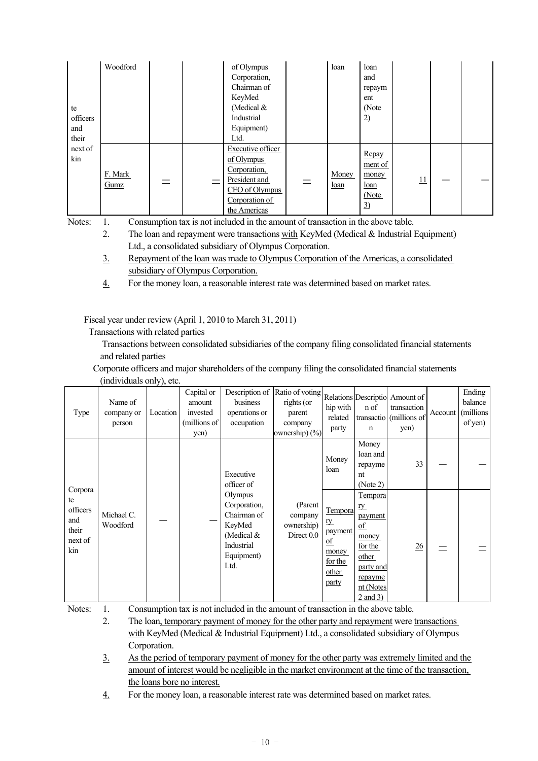| te<br>officers<br>and<br>their | Woodford        |  | of Olympus<br>Corporation,<br>Chairman of<br>KeyMed<br>(Medical $&$<br>Industrial<br>Equipment)<br>Ltd.                     |          | loan          | loan<br>and<br>repaym<br>ent<br>(Note<br>2)             |    |  |
|--------------------------------|-----------------|--|-----------------------------------------------------------------------------------------------------------------------------|----------|---------------|---------------------------------------------------------|----|--|
| next of<br>kin                 | F. Mark<br>Gumz |  | <b>Executive officer</b><br>of Olympus<br>Corporation,<br>President and<br>CEO of Olympus<br>Corporation of<br>the Americas | $\equiv$ | Money<br>loan | Repay<br>ment of<br>money<br><u>loan</u><br>(Note<br>3) | 11 |  |

2. The loan and repayment were transactions with KeyMed (Medical  $&$  Industrial Equipment) Ltd., a consolidated subsidiary of Olympus Corporation.

- 3. Repayment of the loan was made to Olympus Corporation of the Americas, a consolidated subsidiary of Olympus Corporation.
- 4. For the money loan, a reasonable interest rate was determined based on market rates.

Fiscal year under review (April 1, 2010 to March 31, 2011)

Transactions with related parties

 Transactions between consolidated subsidiaries of the company filing consolidated financial statements and related parties

Corporate officers and major shareholders of the company filing the consolidated financial statements (individuals only), etc.

| Type                                                        | Name of<br>company or<br>person | Location | Capital or<br>amount<br>invested<br>(millions of<br>yen) | Description of<br>business<br>operations or<br>occupation                                          | Ratio of voting<br>rights (or<br>parent<br>company<br>ownership) (%) | hip with<br>related<br>party                                                                     | n of<br>$\mathbf n$                                                                                                                                   | Relations Descriptio Amount of<br>transaction<br>transactio (millions of<br>yen) | Account | Ending<br>balance<br>(millions<br>of yen) |
|-------------------------------------------------------------|---------------------------------|----------|----------------------------------------------------------|----------------------------------------------------------------------------------------------------|----------------------------------------------------------------------|--------------------------------------------------------------------------------------------------|-------------------------------------------------------------------------------------------------------------------------------------------------------|----------------------------------------------------------------------------------|---------|-------------------------------------------|
|                                                             |                                 |          |                                                          | Executive<br>officer of                                                                            |                                                                      | Money<br>loan                                                                                    | Money<br>loan and<br>repayme<br>nt<br>(Note 2)                                                                                                        | 33                                                                               |         |                                           |
| Corpora<br>te<br>officers<br>and<br>their<br>next of<br>kin | Michael C.<br>Woodford          |          |                                                          | Olympus<br>Corporation,<br>Chairman of<br>KeyMed<br>(Medical &<br>Industrial<br>Equipment)<br>Ltd. | (Parent<br>company<br>ownership)<br>Direct 0.0                       | <b>Tempora</b><br><u>ry</u><br>payment<br>$\underline{of}$<br>money<br>for the<br>other<br>party | Tempora<br><u>ry</u><br><i>payment</i><br>$\underline{\mathrm{of}}$<br>money<br>for the<br>other<br>party and<br>repayme<br>nt (Notes<br>$2$ and $3)$ | 26                                                                               |         |                                           |

Notes: 1. Consumption tax is not included in the amount of transaction in the above table.

 2. The loan, temporary payment of money for the other party and repayment were transactions with KeyMed (Medical & Industrial Equipment) Ltd., a consolidated subsidiary of Olympus Corporation.

 3. As the period of temporary payment of money for the other party was extremely limited and the amount of interest would be negligible in the market environment at the time of the transaction, the loans bore no interest.

4. For the money loan, a reasonable interest rate was determined based on market rates.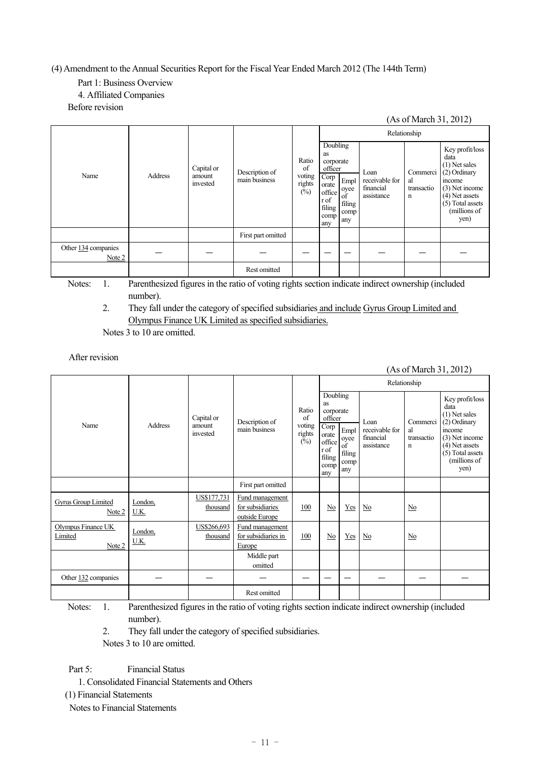(4) Amendment to the Annual Securities Report for the Fiscal Year Ended March 2012 (The 144th Term)

# Part 1: Business Overview

# 4. Affiliated Companies

Before revision

|                               |         |                                  |                                 |                                           |                                                                                                    |                                             |                                                   | (As of March 31, 2012)            |                                                                                                                                                      |
|-------------------------------|---------|----------------------------------|---------------------------------|-------------------------------------------|----------------------------------------------------------------------------------------------------|---------------------------------------------|---------------------------------------------------|-----------------------------------|------------------------------------------------------------------------------------------------------------------------------------------------------|
|                               |         |                                  |                                 |                                           |                                                                                                    |                                             |                                                   | Relationship                      |                                                                                                                                                      |
| Name                          | Address | Capital or<br>amount<br>invested | Description of<br>main business | Ratio<br>of<br>voting<br>rights<br>$(\%)$ | Doubling<br>as<br>corporate<br>officer<br>Corp<br>orate<br>office<br>r of<br>filing<br>comp<br>any | Empl<br>oyee<br>of<br>filing<br>comp<br>any | Loan<br>receivable for<br>financial<br>assistance | Commerci<br>al<br>transactio<br>n | Key profit/loss<br>data<br>$(1)$ Net sales<br>(2) Ordinary<br>income<br>(3) Net income<br>(4) Net assets<br>(5) Total assets<br>(millions of<br>yen) |
|                               |         |                                  | First part omitted              |                                           |                                                                                                    |                                             |                                                   |                                   |                                                                                                                                                      |
| Other 134 companies<br>Note 2 |         |                                  |                                 |                                           |                                                                                                    |                                             |                                                   |                                   |                                                                                                                                                      |
|                               |         |                                  | <b>Rest omitted</b>             |                                           |                                                                                                    |                                             |                                                   |                                   |                                                                                                                                                      |

Notes: 1. Parenthesized figures in the ratio of voting rights section indicate indirect ownership (included number).

2. They fall under the category of specified subsidiaries and include Gyrus Group Limited and Olympus Finance UK Limited as specified subsidiaries.

Notes 3 to 10 are omitted.

# After revision

# (As of March 31, 2012)

|                                         |                 |                                  |                                                       |                                           |                                                                                                    |                                             |                                                   | Relationship                      |                                                                                                                                                      |
|-----------------------------------------|-----------------|----------------------------------|-------------------------------------------------------|-------------------------------------------|----------------------------------------------------------------------------------------------------|---------------------------------------------|---------------------------------------------------|-----------------------------------|------------------------------------------------------------------------------------------------------------------------------------------------------|
| Name                                    | Address         | Capital or<br>amount<br>invested | Description of<br>main business                       | Ratio<br>of<br>voting<br>rights<br>$(\%)$ | Doubling<br>as<br>corporate<br>officer<br>Corp<br>orate<br>office<br>r of<br>filing<br>comp<br>any | Empl<br>oyee<br>of<br>filing<br>comp<br>any | Loan<br>receivable for<br>financial<br>assistance | Commerci<br>al<br>transactio<br>n | Key profit/loss<br>data<br>$(1)$ Net sales<br>(2) Ordinary<br>income<br>(3) Net income<br>(4) Net assets<br>(5) Total assets<br>(millions of<br>yen) |
|                                         |                 |                                  | First part omitted                                    |                                           |                                                                                                    |                                             |                                                   |                                   |                                                                                                                                                      |
| <b>Gyrus Group Limited</b><br>Note 2    | London,<br>U.K. | US\$177,731<br>thousand          | Fund management<br>for subsidiaries<br>outside Europe | 100                                       | No                                                                                                 | Yes                                         | No                                                | No                                |                                                                                                                                                      |
| Olympus Finance UK<br>Limited<br>Note 2 | London,<br>U.K. | US\$266,693<br>thousand          | Fund management<br>for subsidiaries in<br>Europe      | 100                                       | No                                                                                                 | Yes                                         | No                                                | No                                |                                                                                                                                                      |
|                                         |                 |                                  | Middle part<br>omitted                                |                                           |                                                                                                    |                                             |                                                   |                                   |                                                                                                                                                      |
| Other 132 companies                     |                 |                                  |                                                       |                                           |                                                                                                    |                                             |                                                   |                                   |                                                                                                                                                      |
|                                         |                 |                                  | Rest omitted                                          |                                           |                                                                                                    |                                             |                                                   |                                   |                                                                                                                                                      |

Notes: 1. Parenthesized figures in the ratio of voting rights section indicate indirect ownership (included number).

2. They fall under the category of specified subsidiaries.

Notes 3 to 10 are omitted.

Part 5: Financial Status

1. Consolidated Financial Statements and Others

(1) Financial Statements

Notes to Financial Statements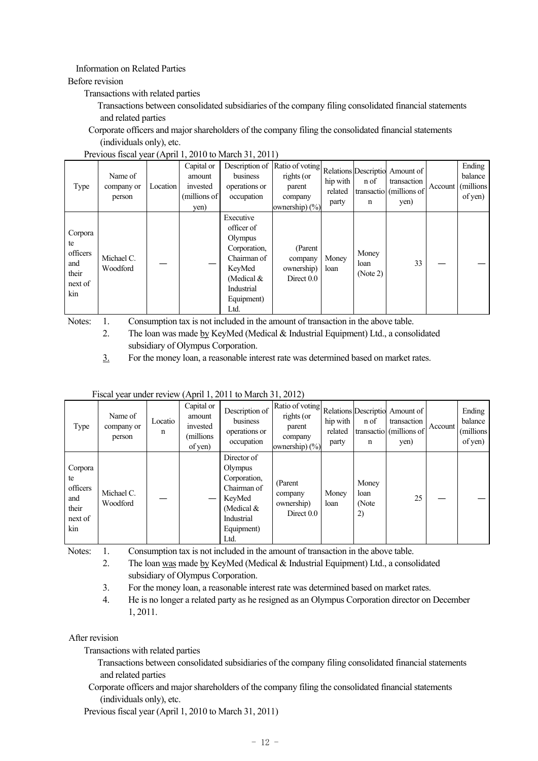# Information on Related Parties

#### Before revision

Transactions with related parties

- Transactions between consolidated subsidiaries of the company filing consolidated financial statements and related parties
- Corporate officers and major shareholders of the company filing the consolidated financial statements (individuals only), etc.

| Type                                                        | Name of<br>company or<br>person | Location | Capital or<br>amount<br>invested<br>(millions of<br>yen) | Description of<br>business<br>operations or<br>occupation                                                                       | Ratio of voting<br>rights (or<br>parent<br>company<br>ownership) $(\% )$ | hip with<br>related<br>party | n of<br>n                 | Relations Descriptio Amount of<br>transaction<br>transactio (millions of<br>yen) | Account | Ending<br>balance<br>(millions)<br>of yen) |
|-------------------------------------------------------------|---------------------------------|----------|----------------------------------------------------------|---------------------------------------------------------------------------------------------------------------------------------|--------------------------------------------------------------------------|------------------------------|---------------------------|----------------------------------------------------------------------------------|---------|--------------------------------------------|
| Corpora<br>te<br>officers<br>and<br>their<br>next of<br>kin | Michael C.<br>Woodford          |          |                                                          | Executive<br>officer of<br>Olympus<br>Corporation,<br>Chairman of<br>KeyMed<br>(Medical $&$<br>Industrial<br>Equipment)<br>Ltd. | (Parent<br>company<br>ownership)<br>Direct 0.0                           | Money<br>loan                | Money<br>loan<br>(Note 2) | 33                                                                               |         |                                            |

Notes: 1. Consumption tax is not included in the amount of transaction in the above table.

 2. The loan was made by KeyMed (Medical & Industrial Equipment) Ltd., a consolidated subsidiary of Olympus Corporation.

3. For the money loan, a reasonable interest rate was determined based on market rates.

| Fiscal year under review (April 1, 2011 to March 31, 2012) |  |  |
|------------------------------------------------------------|--|--|
|                                                            |  |  |

| Type                                                        | Name of<br>company or<br>person | Locatio<br>n | Capital or<br>amount<br>invested<br>millions)<br>of yen) | Description of<br>business<br>operations or<br>occupation                                                           | $\label{eq:Ratio} \left \text{Ratio of voting}\right \text{Relations} \left \text{Descriptio}\right  \text{Amount of} \left $<br>rights (or<br>parent<br>company<br>ownership) $(\% )$ | hip with<br>related<br>party | n of<br>n                    | transaction<br>transactio (millions of<br>yen) | Account | Ending<br>balance<br>(millions)<br>of yen) |
|-------------------------------------------------------------|---------------------------------|--------------|----------------------------------------------------------|---------------------------------------------------------------------------------------------------------------------|----------------------------------------------------------------------------------------------------------------------------------------------------------------------------------------|------------------------------|------------------------------|------------------------------------------------|---------|--------------------------------------------|
| Corpora<br>te<br>officers<br>and<br>their<br>next of<br>kin | Michael C.<br>Woodford          |              |                                                          | Director of<br>Olympus<br>Corporation,<br>Chairman of<br>KeyMed<br>(Medical $&$<br>Industrial<br>Equipment)<br>Ltd. | (Parent<br>company<br>ownership)<br>Direct $0.0$                                                                                                                                       | Money<br>loan                | Money<br>loan<br>(Note<br>2) | 25                                             |         |                                            |

Notes: 1. Consumption tax is not included in the amount of transaction in the above table.

 2. The loan was made by KeyMed (Medical & Industrial Equipment) Ltd., a consolidated subsidiary of Olympus Corporation.

- 3. For the money loan, a reasonable interest rate was determined based on market rates.
- 4. He is no longer a related party as he resigned as an Olympus Corporation director on December 1, 2011.

## After revision

Transactions with related parties

- Transactions between consolidated subsidiaries of the company filing consolidated financial statements and related parties
- Corporate officers and major shareholders of the company filing the consolidated financial statements (individuals only), etc.

Previous fiscal year (April 1, 2010 to March 31, 2011)